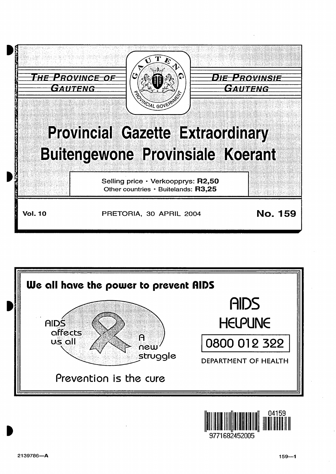



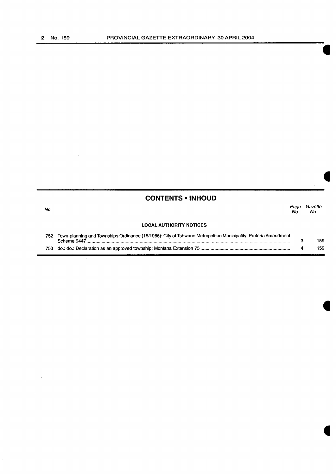$\label{eq:2.1} \frac{1}{\sqrt{2\pi}}\int_{0}^{\infty}\frac{1}{\sqrt{2\pi}}\left(\frac{1}{\sqrt{2\pi}}\right)^{2}d\mu\,d\mu\,d\mu\,d\mu\,.$ 

 $\sim 10^{-11}$ 

|      | <b>CONTENTS • INHOUD</b>                                                                                       |             |                |
|------|----------------------------------------------------------------------------------------------------------------|-------------|----------------|
| No.  |                                                                                                                | Page<br>No. | Gazette<br>No. |
|      | <b>LOCAL AUTHORITY NOTICES</b>                                                                                 |             |                |
| 752. | Town-planning and Townships Ordinance (15/1986): City of Tshwane Metropolitan Municipality: Pretoria Amendment | з           | 159            |
|      |                                                                                                                |             | 159            |

 $\mathcal{L}^{\text{max}}_{\text{max}}$  and  $\mathcal{L}^{\text{max}}_{\text{max}}$ 

 $\label{eq:2.1} \mathcal{L}(\mathcal{A}) = \mathcal{L}(\mathcal{A}) = \mathcal{L}(\mathcal{A}) = \mathcal{L}(\mathcal{A}) = \mathcal{L}(\mathcal{A})$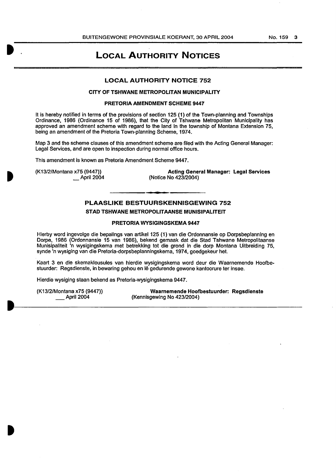#### BUITENGEWONE PROVINSIALE KOERANT, 30 APRIL 2004 No. 159 3

## LOCAL AUTHORITY NOTICES

## LOCAL AUTHORITY NOTICE 752

## CITY OF TSHWANE METROPOLITAN MUNICIPALITY

## PRETORIA AMENDMENT SCHEME 9447

It is hereby notified in terms of the provisions of section 125 (1) of the Town-planning and Townships Ordinance, 1986 (Ordinance 15 of 1986), that the City of Tshwane Metropolitan Municipality has approved an amendment scheme with regard to the land in the township of Montana Extension 75, being an amendment of the Pretoria Town-planning Scheme, 1974.

Map 3 and the scheme clauses of this amendment scheme are filed with the Acting General Manager: Legal Services, and are open to inspection during normal office hours.

This amendment is known as Pretoria Amendment Scheme 9447.

(K13/2/Montana x75 (9447)) \_April2004

Acting General Manager: Legal Services (Notice No 423/2004)

## PLAASLIKE BESTUURSKENNISGEWING 752

## STAD TSHWANE METROPOLITAANSE MUNISIPALITEIT

#### PRETORIA WYSIGINGSKEMA 9447

Hierby word ingevolge die bepalings van artikel 125 (1) van die Ordonnansie op Dorpsbeplanning en Dorpe, 1986 (Ordonnansie 15 van 1986), bekend gemaak dat die Stad Tshwane Metropolitaanse Munisipaliteit 'n wysigingskema met betrekking tot die grond in die dorp Montana Uitbreiding 75, synde 'n wysiging van die Pretoria-dorpsbeplanningskema, 1974, goedgekeur het.

Kaart 3 en die skemaklousules van hierdie wysigingskema word deur die Waarnemende Hoofbestuurder: Regsdienste, in bewaring gehou en lê gedurende gewone kantoorure ter insae.

Hierdie wysiging staan bekend as Pretoria-wysigingskema 9447.

(K13/2/Montana x75 (9447)) \_\_ April 2004

Waarnemende Hoofbestuurder: Regsdlenste (Kennisgewing No 423/2004)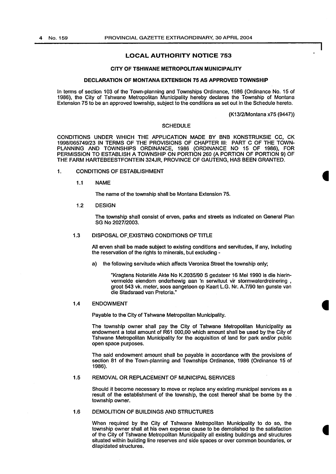## LOCAL AUTHORITY NOTICE 753

#### CITY OF TSHWANE METROPOLITAN MUNICIPALITY

#### DECLARATION OF MONTANA EXTENSION 75 AS APPROVED TOWNSHIP

In terms of section 103 of the Town-planning and Townships Ordinance, 1986 (Ordinance No. 15 of 1986), the City of Tshwane Metropolitan Municipality hereby declares the Township of Montana Extension 75 to be an approved township, subject to the conditions as set out in the Schedule hereto.

(K13/2/Montana x75 (9447))

### **SCHEDULE**

CONDITIONS UNDER WHICH THE APPLICATION MADE BY BNB KONSTRUKSIE CC, CK 1998/065749/23 IN TERMS OF THE PROVISIONS OF CHAPTER Ill: PART C OF THE TOWN-PLANNING AND TOWNSHIPS ORDINANCE, 1986 (ORDINANCE NO 15 OF 1986), FOR PERMISSION TO ESTABLISH A TOWNSHIP ON PORTION 260 (A PORTION OF PORTION 9) OF THE FARM HARTEBEESTFONTEIN 324JR, PROVINCE OF GAUTENG, HAS BEEN GRANTED.

- 1. CONDITIONS OF ESTABLISHMENT
	- 1.1 NAME

The name of the township shall be Montana Extension 75.

1.2 DESIGN

The township shall consist of erven, parks and streets as Indicated on General Plan SG No 2027/2003.

#### 1.3 DISPOSAL OF,EXISTING CONDITIONS OF TITLE

All erven shall be made subject to existing conditions and servitudes, if any, Including the reservation of the rights to minerals, but excluding -

a) the following servitude which affects Veronica Street the township only;

"Kragtens Notariële Akte No K.2035/90 S gedateer 16 Mei 1990 is die hierinvermelde eiendom onderhewig aan 'n serwituut vir stormwaterdreinering , groot 543 vk. meter, soos aangetoon op Kaart L.G. Nr. A.7/90 ten gunste van die Stadsraad van Pretoria."

#### 1.4 ENDOWMENT

Payable to the City of Tshwane Metropolitan Municipality.

The township owner shall pay the City of Tshwane Metropolitan Municipality as endowment a total amount of R61 000,00 which amount shall be used by the City of Tshwane Metropolitan Municipality for the acquisition of land for park and/or public open space purposes.

The said endowment amount shall be payable in accordance with the provisions of section 81 of the Town-planning and Townships Ordinance, 1986 (Ordinance 15 of 1986).

#### 1.5 REMOVAL OR REPLACEMENT OF MUNICIPAL SERVICES

Should it become necessary to move or replace any existing municipal services as a result of the establishment of the township, the cost thereof shall be borne by the township owner.

## 1.6 DEMOLITION OF BUILDINGS AND STRUCTURES

When required by the City of Tshwane Metropolitan Municipality to do so, the township owner shall at his own expense cause to be demolished to the satisfaction of the City of Tshwane Metropolitan Municipality all existing buildings and structures situated within building line reserves and side spaces or over common boundaries, or dilapidated structures.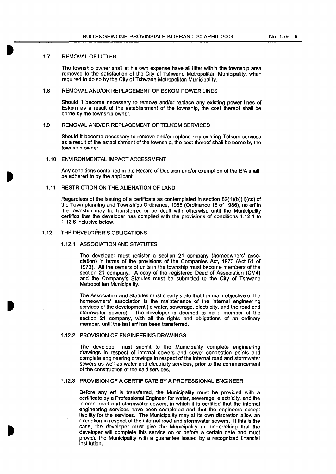### 1.7 REMOVAL OF LITTER

The township owner shall at his own expense have all litter within the township area removed to the satisfaction of the City of Tshwane Metropolitan Municipality, when required to do so by the City of Tshwane Metropolitan Municipality.

## 1.8 REMOVAL AND/OR REPLACEMENT OF ESKOM POWER LINES

Should it become necessary to remove and/or replace any existing power lines of Eskom as a result of the establishment of the township, the cost thereof shall be borne by the township owner.

## 1.9 REMOVAL AND/OR REPLACEMENT OF TELKOM SERVICES

Should it become necessary to remove and/or replace any existing Telkom services as a result of the establishment of the township, the cost thereof shall be borne by the township owner.

#### 1.10 ENVIRONMENTAL IMPACT ACCESSMENT

Any conditions contained in the Record of Decision and/or exemption of the EIA shall be adhered to by the applicant.

## 1.11 RESTRICTION ON THE ALIENATION OF LAND

Regardless of the issuing of a certificate as contemplated in section 82{1)(b){ii)(cc) of the Town-planning and Townships Ordinance, 1986 (Ordinance 15 of 1986), no erf in the township may be transferred or be dealt with otherwise until the Municipality certifies that the developer has complied with the provisions of conditions 1.12.1 to 1.12.6 inclusive below.

## 1.12 THE DEVELOPER'S OBLIGATIONS

## 1.12.1 ASSOCIATION AND STATUTES

The developer must register a section 21 company (homeowners' association) in terms of the provisions of the Companies Act, 1973 (Act 61 of 1973). All the owners of units in the township must become members of the section 21 company. A copy of the registered Deed of Association (CM4) and the Company's Statutes must be submitted to the City of Tshwane Metropolitan Municipality.

The Association and Statutes must clearly state that the main objective of the homeowners' association is the maintenance of the internal engineering services of the development (ie water, sewerage, electricity, and the road and stormwater sewers). The developer is deemed to be a member of the section 21 company, with all the rights and obligations of an ordinary member, until the last erf has been transferred.

## 1.12.2 PROVISION OF ENGINEERING DRAWINGS

The developer must submit to the Municipality complete engineering drawings in respect of internal sewers and sewer connection points and complete engineering drawings in respect of the Internal road and stormwater sewers as well as water and electricity services, prior to the commencement of the construction of the said services.

## 1.12.3 PROVISION OF A CERTIFICATE BY A PROFESSIONAL ENGINEER

Before any erf is transferred, the Municipality must be provided with a certificate by a Professional Engineer for water, sewerage, electricity, and the internal road and stormwater sewers, in which It is certified that the internal engineering services have been completed and that the engineers accept liability for the services. The Municipality may at its own discretion allow an exception in respect of the internal road and stormwater sewers. If this is the case, the developer must give the Municipality an undertaking that the developer will complete this service on or before a certain date and must provide the Municipality with a guarantee issued by a recognized financial institution.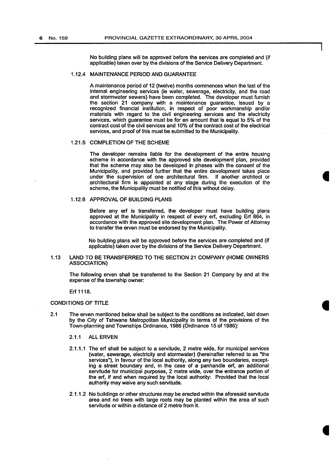No building plans will be approved before the services are completed and (if applicable) taken over by the divisions of the Service Delivery Department.

## 1.12.4 MAINTENANCE PERIOD AND GUARANTEE

A maintenance period of 12 (twelve) months commences when the last of the internal engineering services (ie water, sewerage, electricity, and the road and stormwater sewers) have been completed. The developer must furnish the section 21 company with a maintenance guarantee, issued by a recognized financial institution, in respect of poor workmanship and/or materials with regard to the civil engineering services and the electricity services, which guarantee must be for an amount that is equal to 5% of the contract cost of the civil services and 10% of the contract cost of the electrical services, and proof of this must be submitted to the Municipality.

### 1.21.5 COMPLETION OF THE SCHEME

The developer remains liable for the development of the entire housing scheme in accordance with the approved site development plan, provided that the scheme may also be developed in phases with the consent of the Municipality, and provided further that the entire development takes place under the supervision of one architectural firm. If another architect or architectural firm is appointed at any stage during the execution of the scheme, the Municipality must be notified of this without delay.

#### 1.12.6 APPROVAL OF BUILDING PLANS

Before any erf is transferred, the developer must have building plans approved at the Municipality in respect of every erf, excluding Erf 864, in accordance with the approved site development plan. The Power of Attorney to transfer the erven must be endorsed by the Municipality.

No building plans will be approved before the services are completed and (if applicable) taken over by the divisions of the Service Delivery Department.

## 1.13 LAND TO BE TRANSFERRED TO THE SECTION 21 COMPANY (HOME OWNERS ASSOCIATION)

The following erven shall be transferred to the Section 21 Company by and at the expense of the township owner:

Erf 1118.

## CONDITIONS OF TITLE

- 2.1 The erven mentioned below shall be subject to the conditions as indicated, laid down by the City of Tshwane Metropolitan Municipality in terms of the provisions of the Town-planning and Townships Ordinance, 1986 (Ordinance 15 of 1986):
	- 2.1.1 ALL ERVEN
	- 2.1.1.1 The erf shall be subject to a servitude, 2 metre wide, for municipal services (water, sewerage, electricity and stormwater) (hereinafter referred to as "the services"), in favour of the local authority, along any two boundaries, excepting a street boundary and, in the case of a panhandle erf, an additional servitude for municipal purposes, 2 metre wide, over the entrance portion of the erf, if and when required by the local authority: Provided that the local authority may waive any such servitude.
	- 2.1.1.2 No buildings or other structures may be erected within the aforesaid servitude area and no trees with large roots may be planted within the area of such servitude or within a distance of 2 metre from it.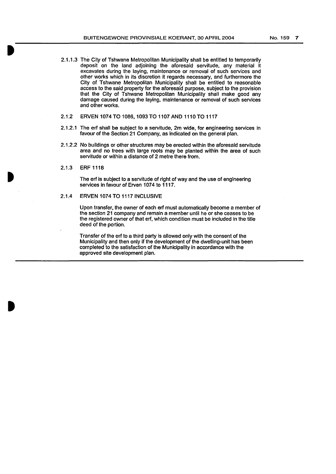- 2.1.1.3 The City of Tshwane Metropolitan Municipality shall be entitled to temporarily deposit on the land adjoining the aforesaid servitude, any material it excavates during the laying, maintenance or removal of such services and other works which in its discretion it regards necessary, and furthermore the City of Tshwane Metropolitan Municipality shall be entitled to reasonable access to the said property for the aforesaid purpose, subject to the provision that the City of Tshwane Metropolitan Municipality shall make good any damage caused during the laying, maintenance or removal of such services and other works.
- 2.1.2 ERVEN 1074 TO 1086, 1093 TO 1107 AND 1110 TO 1117
- 2.1.2.1 The erf shall be subject to a servitude, 2m wide, for engineering services in favour of the Section 21 Company, as indicated on the general plan.
- 2.1.2.2 No buildings or other structures may be erected within the aforesaid servitude area and no trees with large roots may be planted within the area of such servitude or within a distance of 2 metre there from.
- 2.1.3 ERF 1118

The erf is subject to a servitude of right of way and the use of engineering services in favour of Erven 1074 to 1117.

2.1.4 ERVEN 1074 TO 1117 INCLUSIVE

Upon transfer, the owner of each erf must automatically become a member of the section 21 company and remain a member until he or she ceases to be the registered owner of that erf, which condition must be included in the title deed of the portion.

Transfer of the erf to a third party is allowed only with the consent of the Municipality and then only if the development of the dwelling-unit has been completed to the satisfaction of the Municipality in accordance with the approved site development plan.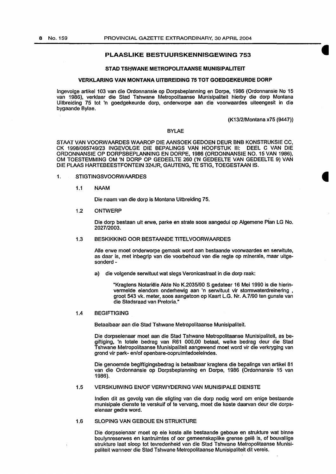## PLAASLIKE BESTUURSKENNISGEWING 753

#### STAD TSHWANE METROPOLITAANSE MUNISIPALITEIT

## VERKLARING VAN MONTANA UITBREIDING 75 TOT GOEDGEKEURDE DORP

lngevolge artikel 103 van die Ordonnansle op Dorpsbeplanning en Dorpe, 1986 (Ordonnansie No 15 van 1986), verklaar die Stad Tshwane Metropolitaanse Munisipaliteit hierby die dorp Montana Uitbreiding 75 tot 'n goedgekeurde dorp, onderworpe aan die voorwaardes uiteengesit in die bygaande Bylae.

(K13/2/Montana x75 (9447))

## BYLAE

STAAT VAN VOORWAARDES WAAROP DIE AANSOEK GEDOEN DEUR BNB KONSTRUKSIE CC, CK 1998/065749/23 INGEVOLGE DIE BEPALINGS VAN HOOFSTUK III: DEEL C VAN DIE CK 1998/065749/23 INGEVOLGE DIE BEPALINGS VAN HOOFSTUK III: ORDONNANSIE OP DORPSBEPLANNING EN DORPE, 1986 (ORDONNANSIE NO. 15 VAN 1986), OM TOESTEMMING OM 'N DORP OP GEDEELTE 260 ('N GEDEELTE VAN GEDEELTE 9) VAN DIE PLAAS HARTEBEESTFONTEIN 324JR, GAUTENG, TE STIG, TOEGESTAAN IS.

#### 1. STIGTINGSVOORW AARDES

1.1 NAAM

Die naam van die dorp is Montana Uitbreiding 75.

1.2 ONTWERP

Die dorp bestaan uit erwe, parke en strata soos aangedui op Algemene Plan LG No. 2027/2003. .

## 1.3 BESKIKKING OOR BESTAANDE TITELVOORWAARDES

Aile erwe moet onderworpe gemaak word aan bestaande voorwaardes en serwitute, as daar is, met inbegrip van die voorbehoud van die regte op minerale, maar uitgesonderd-

a) die volgende serwituut wat slegs Veronicastraat in die dorp raak:

"Kragtens Notariële Akte No K.2035/90 S gedateer 16 Mei 1990 is die hierinvermelde eiendom onderhewig aan 'n serwituut vir stormwaterdreinering , groot 543 vk. meter, soos aangetoon op Kaart L.G. Nr. A.7/90 ten gunste van die Stadsraad van Pretoria."

#### 1.4 BEGIFTIGING

Betaalbaar aan die Stad Tshwane Metropolitaanse Munisipaliteit.

Die dorpseienaar moet aan die Stad Tshwane Metropolltaanse Munisipaliteit, as begiftiging, 'n totale bedrag van R61 000,00 betaal, welke bedrag deur die Stad Tshwane Metropolitaanse Munisipaliteit aangewend moet word vir die verkryging van grand vir park- en/of openbare-oopruimtedoeleindes.

Die genoemde begiftigingsbedrag is betaalbaar kragtens die bepalings van artikel 81 van die Ordonnansie op Dorpsbeplanning en Dorpe, 1986 (Ordonnansie 15 van 1986).

#### 1.5 VERSKUIWING EN/OF VERWYDERING VAN MUNISIPALE DIENSTE

Indian dit as gevolg van die stlgting van die dorp nodig word om enige bestaande munisipale dienste te verskuif of te vervang, meet die koste daarvan deur die dorpseienaar gedra word.

## 1.6 SLOPING VAN GEBOUE EN STRUKTURE

Die dorpseienaar moet op eie koste aile bestaande geboue en strukture wat binne boulynreserwes en kantruimtes of oor gemeenskaplike grense gele is, of bouvallige strukture laat sloop tot tevredenheid van die Stad Tshwane Metropolitaanse Munisipaliteit wanneer die Stad Tshwane Metropolitaanse Munisipaliteit dit vereis.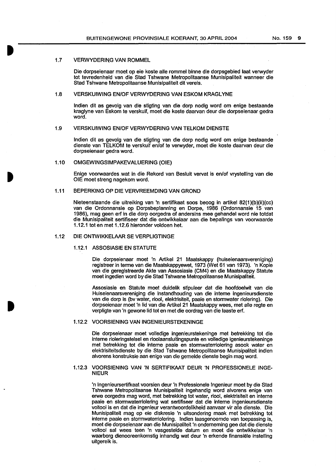## 1.7 VERWYDERING VAN ROMMEL

Die dorpseienaar moet op eie koste aile rommel binne die dorpsgebied laat verwyder tot tevredenhefd van die Stad Tshwane Metropolitaanse Munfsipaliteit wanneer die Stad Tshwane Metropolftaanse Munisipaliteit dit vereis.

## 1.8 VERSKUIWING EN/OF VERWYDERING VAN ESKOM KRAGLYNE

Indian dit as gevolg van die stigting van die dorp nodig word om enige bestaande kraglyne van Eskom te verskuif, moet die koste daarvan deur die dorpsefenaar gedra word.

## 1.9 VERSKUIWING EN/OF VERWYDERING VAN TELKOM DIENSTE

Indian dit as gevolg van die stigting van die dorp nodig word om enige bestaande dienste van TELKOM te verskuif en/of te verwyder, moet die koste daarvan deur die dorpseienaar gedra word.

#### 1.10 OMGEWINGSIMPAKEVALUERING (OlE)

Enige voorwaardes wat in die Rekord van Besluit vervat is en/of vrystelling van die OlE moet streng nagekom word.

## 1.11 BEPERKING OP DIE VERVREEMDING VAN GROND

Nieteenstaande die uitreiking van 'n sertifikaat soos beoog in artikel 82(1)(b)(ii)(cc) van die Ordonnansie op Dorpsbeplanning en Dorpe, 1986 (Ordonnansie 15 van 1986), mag geen erf in die dorp oorgedra of andersins mee gehandel word nie totdat die Munisipaliteit sertifiseer dat die ontwikkelaar aan die bepalings van voorwaarde 1.12.1 tot en met 1.12.6 hleronder voldoen het.

#### 1.12 DIE ONTWIKKELAAR SE VERPLIGTINGE

#### 1.12.1 ASSOSIASIE EN STATUTE

Die dorpseienaar moet 'n Artikel 21 Maatskappy (huiseienaarsvereniging) registreer in terme van die Maatskappyewet, 1973 (Wet 61 van 1973). 'n Kopie van die geregistreerde Akte van Assosiasie (CM4) en die Maatskappy Statute moet ingedien word by die Stad Tshwane Metropolitaanse Munisfpaliteit.

Assosiasie en Statute moet duidelik stipuleer dat die hoofdoelwit van die Huiseienaarsvereniging die instandhouding van die interne ingenieursdienste van die dorp is (bv water, riool, elektrisiteit, paaie en stormwater riolering). Die dorpseienaar moet 'n lid van die Artikel 21 Maatskappy wees, met aile regte en verpligte van 'n gewone lid tot en met die oordrag van die laaste erf.

#### 1.12.2 VOORSIENING VAN INGENIEURSTEKENINGE

Die dorpseienaar moet volledige ingenieurstekeninge met betrekking tot die interne rioleringstelsel en rioofaansluitingspunte en volledige igenieurstekeninge met betrekking tot die interne paaie en stormwaterriolering asook water en elektrisiteitsdlenste by die Stad Tshwane Metropolitaanse Munisipaliteit indien alvorens konstruksie aan enlge van die gemelde dienste begin mag word.

## 1.12.3 VOORSIENING VAN 'N SERTIFIKAAT DEUR 'N PROFESSIONELE INGE-NIEUR

'n lngenieursertifkaat voorsien deur 'n Professfonele lngenieur moet by die Stad Tshwane Metropolitaanse Munisipaliteit ingehandig word alvorens enige van erwe oorgedra mag word, met betrekking tot water, riool, elektrisiteit en interne paaie en stormwaterrlolering wat sertifiseer dat die interne ingenieursdienste voltooi is en dat die ingenieur verantwoordelikheid aanvaar vir aile dienste. Die Munisipalltelt mag op eie diskresie 'n uitsondering maak met betrekking tot interne paaie en stormwaterriolering. lndlen laasgenoemde van toepassing is, moet die dorpselenaar aan die Munisipaliteit 'n ondememlng gee dat die dienste voltooi sal wees teen 'n vasgestelde datum en moet die ontwikkelaar 'n waarborg dienooreenkomstig inhandig wat deur 'n erkende finansiële instelling ultgereik is.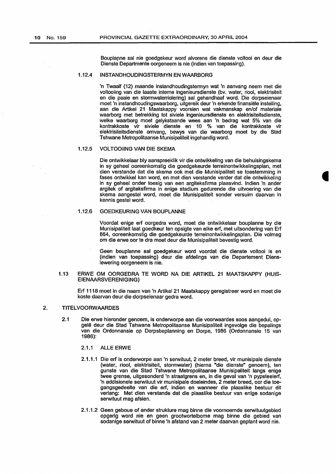Bouplapne sal nie goedgekeur word alvorens die dienste voltooi en deur die Dienste Departmente oorgeneem is nie (indien van toepassing).

#### 1.12.4 INSTANDHOUDINGSTERMYN EN WAARBORG

'n Twaalf {12) maande instandhoudingstermyn wat 'n aanvang neem met die voltooiing van die laaste interne ingenieursdienste {bv. water, riool, elektrisiteit en die paaie en stormwaterriolering) sal gehandhaaf word. Die dorpseienaar moet 'n instandhoudingswaarborg, uitgereik deur 'n erkende finansiele installing, aan die Artikel 21 Maatskappy voorsien wat vakmanskap en/of materiale waarborg met betrekking tot siviele ingenieursdienste en elektrisiteitsdienste, welke waarborg moet gelykstaande wees aan 'n bedrag wat 5% van die kontrakkoste vir siviele dienste en 10 % van die kontrakkoste vir elektrisiteitsdienste omvang, bewys van die waarborg moet by die Stad Tshwane Metropolitaanse Munisipaliteit ingehandig word.

## 1.12.5 VOLTOOIING VAN DIE SKEMA

Die ontwikkelaar bly aanspreeklik vir die ontwikkeling van die behuisingskema in sy geheel ooreenkomstig die goedgekeurde terreinontwikkelingsplan, met dien verstande dat die skema ook met die Munisipaliteit se toestemming in fases ontwikkel kan word, en met dien verstande verder dat die ontwikkeling in sy geheel onder toesig van een argiteksfirma plaasvind. lndien 'n ander argitek of argiteksfirma in enige stadium gedurende die uitvoering van die skema aangestel word, moet die Munisipaliteit sonder versuim daarvan in kennis gestel word.

### 1.12.6 GOEDKEURING VAN BOUPLANNE

Voordat enige erf oorgedra word, moet die ontwikkelaar bouplanne by die Munisipaliteit laat goedkeur ten opsigte van elke erf, met uitsondering van Erf 864, ooreenkomstig die goedgekeurde terreinontwikkelingsplan. Die volmag om die erwe oor te dra moet deur die Munisipaliteit bevestig word.

Geen bouplanne sal goedgekeur word voordat die dienste voltooi is en (indien van toepassing) deur die afdelings van die Departement Dienslewering oorgeneem is nie.

## 1.13 ERWE OM OORGEDRA TE WORD NA DIE ARTIKEL 21 MAATSKAPPY {HUIS-EIENAARSVERENIGING)

Erf 1118 moet in die naam van 'n Artikel21 Maatskappy geregistreer word en moet die koste daarvan deur die dorpseienaar gedra word.

## 2. TITELVOORWAARDES

- 2.1 Die erwe hieronder genoem, is onderworpe aan die voorwaardes soos aangedui, opgele deur die Stad Tshwane Metropolitaanse Munisipaliteit ingevolge die bepalings van die Ordonnansie op Dorpsbeplanning en Dorpe, 1986 (Ordonnansie 15 van 1986):
	- 2.1.1 ALLE ERWE
	- 2.1.1.1 Die erf is onderworpe aan 'n serwituut, 2 meter breed, vir munisipale dienste {water, riool, elektrisiteit, stormwater) {hierna "die dienste" genoem), ten gunste van die Stad Tshwane Metropolitaanse Munisipaliteit fangs enige twee grense, uitgesonderd 'n straatgrens en, in die geval van 'n pypsteelerf, 'n addisionele serwituut vir munisipale doeleindes, 2 meter breed, oar die toegangsgedeelte van die erf, indien en wanneer die plaaslike bestuur dit verlang: Met dien verstande dat die plaaslike bestuur van enige sodanige serwituut mag afsien.
	- 2.1.1.2 Geen geboue of ander strukture mag binne die voornoemde serwituutgebied opgerig word nie en geen grootwortelbome mag binne die gebied van sodanige serwituut of binne 'n afstand van 2 meter daarvan geplant word nie.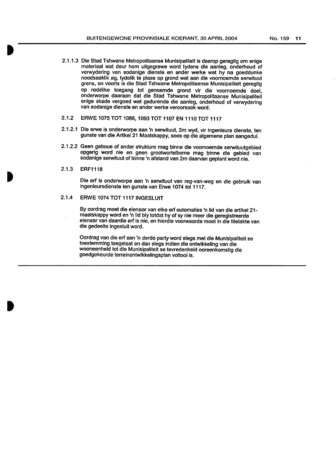No. 159 11

- 2.1.1.3 Die Stad Tshwane Metropolitaanse Munisipaliteit is daarop geregtig om enige materiaal wat deur hom uitgegrawe word tydens die aanleg, onderhoud of verwydering van sodanige dienste en ander werke wat hy na goeddunke noodsaaklik ag, tydellk te plaas op grand wat aan die voomoemde serwituut grens, en voorts is die Stad Tshwane Metropolitaanse Munislpaliteit geregtig op redelike toegang tot genoemde grand vir die voomoemde doel, onderworpe daaraan dat die Stad Tshwane Metropolitaanse Munisipaliteit enlge skade vergoed wat gedurende die aanleg, onderhoud of verwydering van sodanige dienste en ander werke veroorsaak word.
- 2.1.2 ERWE 1075 TOT 1086, 1093 TOT 1107 EN 1110 TOT 1117
- 2.1.2.1 Die erwe is onderworpe aan 'n serwituut, 2m wyd, vir ingenieurs dienste, ten gunste van die Artikel 21 Maatskappy, soos op die algemene plan aangedui.
- 2.1.2.2 Geen geboue of ander strukture mag binne die voornoemde serwituutgebied opgerig word nie en geen grootwortelbome mag binne die gebled van sodanige serwituut of binne 'n afstand van 2m daarvan geplant word nie.
- 2.1.3 ERF1118

Die erf is onderworpe aan 'n serwituut van reg-van-weg en die gebruik van ingenieursdienste ten gunste van Erwe 1074 tot 1117.

## 2.1.4 ERWE 1074 TOT 11171NGESLUIT

By oordrag moet die eienaar van elke erf outomaties 'n lid van die artikel 21 maatskappy word en 'n lid bly totdat hy of sy nie meer die geregistreerde eienaar van daardie erf is nie, en hlerdie voorwaarde moet in die titelakte van die gedeelte ingesluit word.

Oordrag van die erf aan 'n derde party word slegs met die Munisipaliteit se toestemming toegelaat en dan slegs indien die ontwikkeling van die wooneenheid tot die Munisipaliteit se tevredenheid ooreenkomstig die goedgekeurde terreinontwikkelingsplan voltooi is.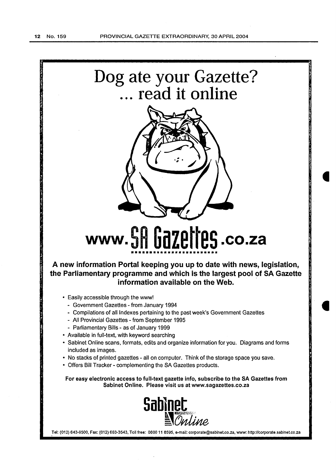

Tel: (012) 643-9500, Fax: (012) 663-3543, Toll free: 0800 11 8595, e-mail: corporate@sabinet.co.za, www: http://corporate.sabinet.co.za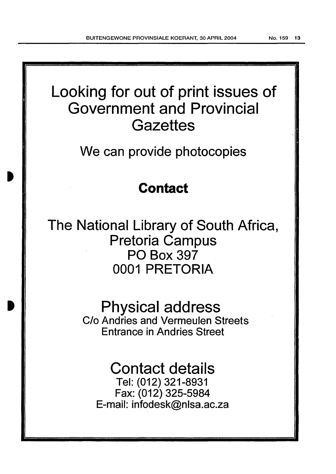# Looking for out of print issues of Government and Provincial **Gazettes**

We can provide photocopies

## **Contact**

The National Library of South Africa, Pretoria Campus PO Box 397 0001 PRETORIA

> Physical address C/o Andries and Vermeulen Streets Entrance in Andries Street

Contact details Tel: (012) 321-8931 Fax: (012) 325-5984 E-mail: infodesk@nlsa.ac.za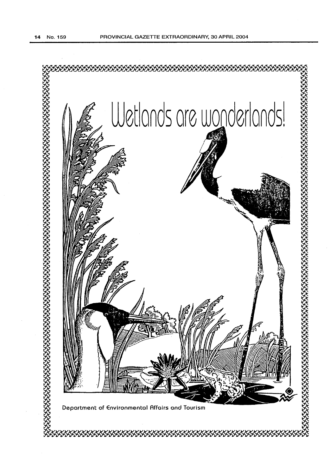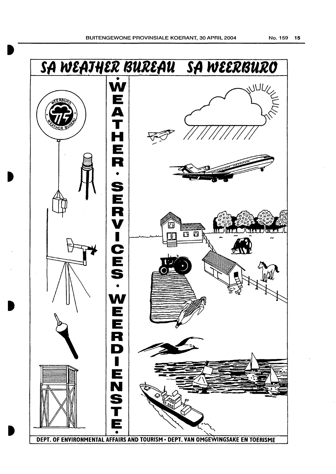